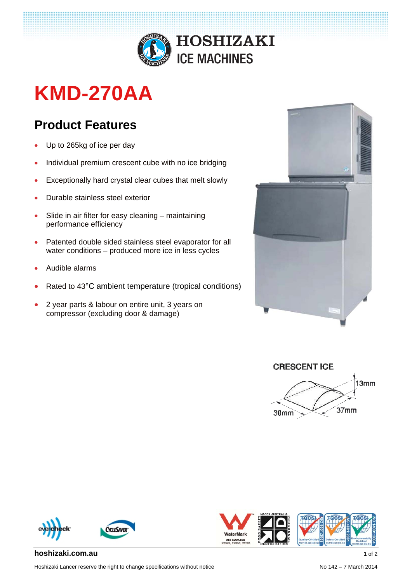

# **KMD-270AA**

## **Product Features**

- Up to 265kg of ice per day
- Individual premium crescent cube with no ice bridging
- Exceptionally hard crystal clear cubes that melt slowly
- Durable stainless steel exterior
- Slide in air filter for easy cleaning maintaining performance efficiency
- Patented double sided stainless steel evaporator for all water conditions – produced more ice in less cycles
- Audible alarms
- Rated to 43°C ambient temperature (tropical conditions)
- 2 year parts & labour on entire unit, 3 years on compressor (excluding door & damage)